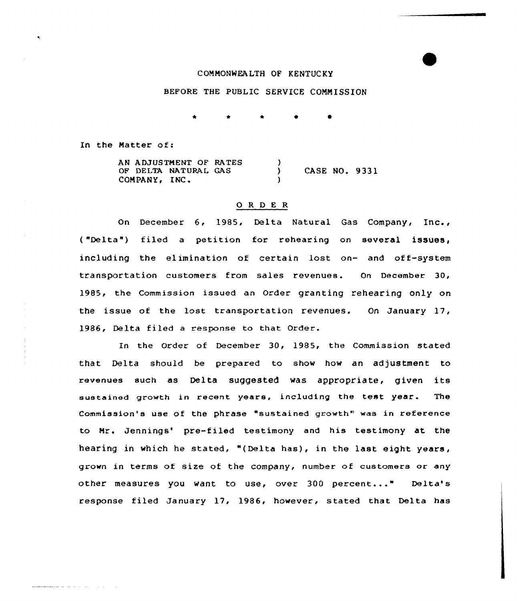## COMMONWEALTH OF KENTUCKY

# BEFORE THE PUBLIC SERVICE COMMISSION

In the Natter of:

الموالي المتحدث فالمتحفظ

۰,

AN ADJUSTNENT OF RATES OF DELTA NATURAL GAS COMPANY, INC.  $\left\{ \right\}$ ) CASE NO. 9331 )

#### 0 <sup>R</sup> <sup>D</sup> E <sup>R</sup>

On December 6, 1985, Delta Natural Gas Company, Inc., ("Delta") filed a petition for rehearing on several issues, including the elimination of certain lost on- and off-system transportation customers from sales revenues. On December 30, 1985, the Commission issued an Order granting rehearing only on the issue of the lost transportation revenues. On January 17, 1986, Delta filed a response to that Order.

In the Order of December 30, 1985, the Commission stated that Delta should be prepared to show how an adjustment to revenues such as Delta suggested was appropriate, given its sustained growth in recent years, including the test year. The Commission's use of the phrase "sustained growth" was in reference to Mr. Jennings' pre-filed testimony and his testimony at the hearing in which he stated, "(Delta has), in the last eight years, grown in terms of size of the company, number of customers or any other measures you want to use, over 300 percent..." Delta's response filed January 17, 1986, however, stated that Delta has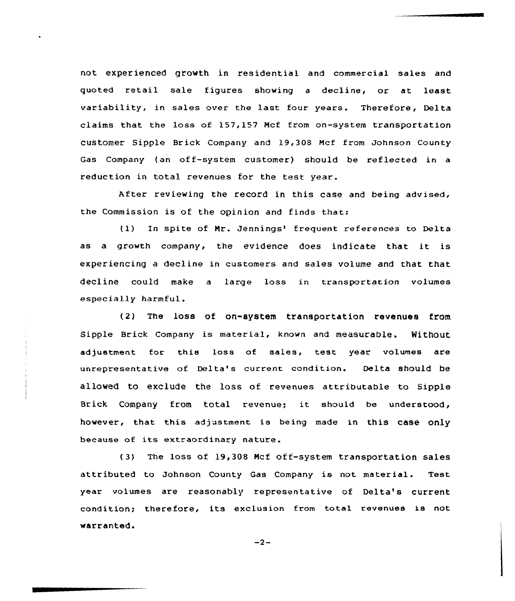not experienced growth in residential and commercial sales and quoted retail sale figures showing a decline, or at least variability, in sales over the last four years. Therefore, Delta claims that the loss of 157,157 Mcf from on-system transportation customer Sipple Brick Company and 19,308 Mcf from Johnson County Gas Company (an off-system customer) should be reflected in a reduction in total revenues for the test year.

After reviewing the record in this case and being advised, the Commission is of the opinion and finds that:

(1) In spite of Mr. Jennings' frequent references to Delta as <sup>a</sup> growth company, the evidence does indicate that it is experiencing a decline in customers and sales volume and that that decline could make a large loss in transportation volumes especially harmful.

(2} The loss of on-system transportation revenues from sipple Brick company is material, known and measurable. Nithout adjustment for this loss of sales, test year volumes are unrepresentative of Delta's current condition. Delta should be allowed to exclude the loss of revenues attributable to Sipple Brick Company from total revenue; it should be understood, however, that this adjustment is being made in this case only because of its extraordinary nature.

(3) The loss of 19,308 Hcf off-system transportation sales attributed to Johnson County Gas Company is not material. Test year volumes are reasonably representative of Delta's current condition; therefore, its exclusion from total revenues is not warranted.

 $-2-$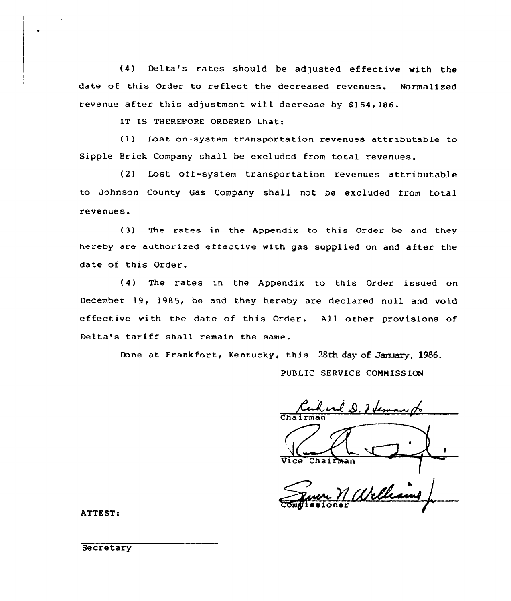(4) Delta's rates should be adjusted effective with the date of this Order to reflect the decreased revenues. Normalized revenue after this adjustment will decrease by 8154, 186.

IT IS THEREFORE ORDERED that:

(1) Lost on-system transportation revenues attributable to Sipple Brick Company shall be excluded from total revenues.

(2) Lost off-system transportation revenues attributable to Johnson County Gas Company shall not be excluded from total revenues.

(3) The rates in the Appendix to this Order be and they hereby are authorized effective with gas supplied on and after the date of this Order.

(4) The rates in the Appendix to this Order issued on December 19, 1985, be and they hereby are declared null and void effective with the date of this Order. All other provisions of Delta's tariff shall remain the same.

Done at Frankfort, Kentucky, this 28th day of January, 1986.

PUBLIC SERVICE COMMISSION

Cha irman Vice Chairman

comglissioner

ATTEST:

**Secretary**